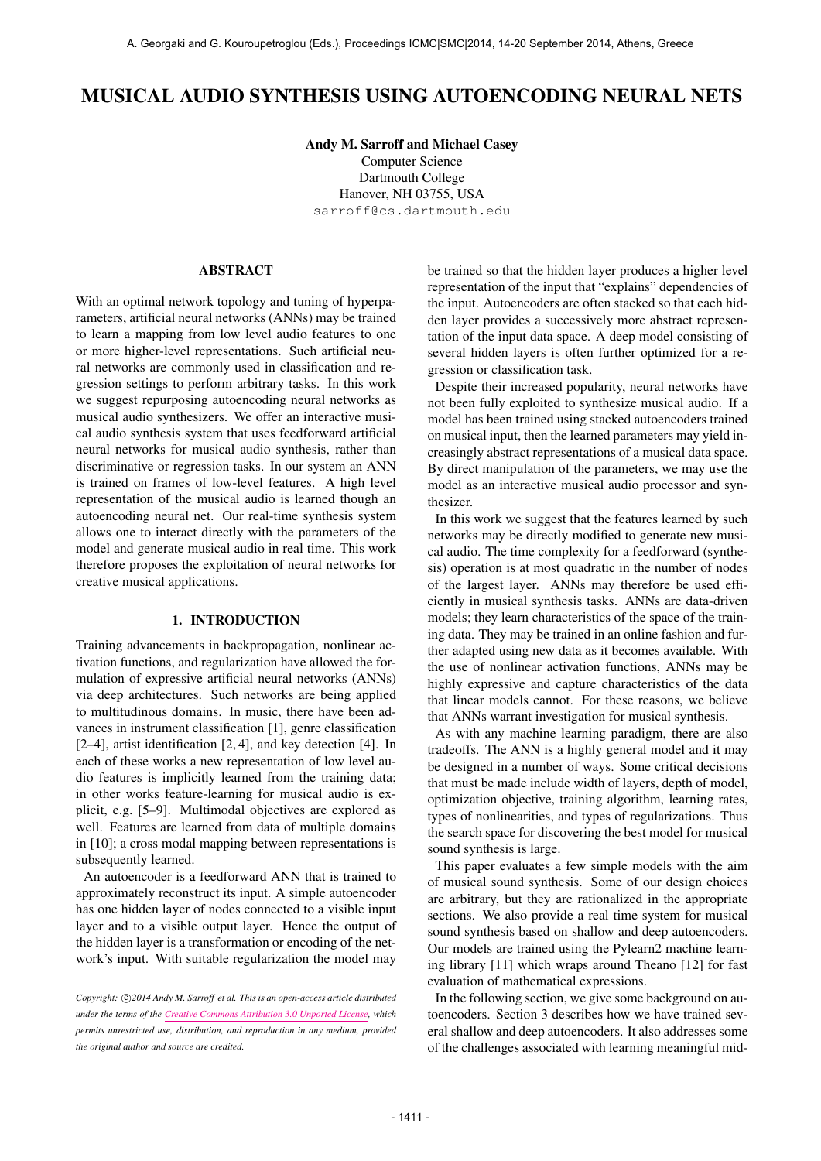# MUSICAL AUDIO SYNTHESIS USING AUTOENCODING NEURAL NETS

Andy M. Sarroff and Michael Casey Computer Science Dartmouth College Hanover, NH 03755, USA [sarroff@cs.dartmouth.edu](mailto:sarroff@cs.dartmouth.edu)

## ABSTRACT

With an optimal network topology and tuning of hyperparameters, artificial neural networks (ANNs) may be trained to learn a mapping from low level audio features to one or more higher-level representations. Such artificial neural networks are commonly used in classification and regression settings to perform arbitrary tasks. In this work we suggest repurposing autoencoding neural networks as musical audio synthesizers. We offer an interactive musical audio synthesis system that uses feedforward artificial neural networks for musical audio synthesis, rather than discriminative or regression tasks. In our system an ANN is trained on frames of low-level features. A high level representation of the musical audio is learned though an autoencoding neural net. Our real-time synthesis system allows one to interact directly with the parameters of the model and generate musical audio in real time. This work therefore proposes the exploitation of neural networks for creative musical applications.

#### 1. INTRODUCTION

Training advancements in backpropagation, nonlinear activation functions, and regularization have allowed the formulation of expressive artificial neural networks (ANNs) via deep architectures. Such networks are being applied to multitudinous domains. In music, there have been advances in instrument classification [1], genre classification [2–4], artist identification [2, 4], and key detection [4]. In each of these works a new representation of low level audio features is implicitly learned from the training data; in other works feature-learning for musical audio is explicit, e.g. [5–9]. Multimodal objectives are explored as well. Features are learned from data of multiple domains in [10]; a cross modal mapping between representations is subsequently learned.

An autoencoder is a feedforward ANN that is trained to approximately reconstruct its input. A simple autoencoder has one hidden layer of nodes connected to a visible input layer and to a visible output layer. Hence the output of the hidden layer is a transformation or encoding of the network's input. With suitable regularization the model may

Copyright:  $\bigcirc$  2014 Andy M. Sarroff et al. This is an open-access article distributed *under the terms of the [Creative Commons Attribution 3.0 Unported License,](http://creativecommons.org/licenses/by/3.0/) which permits unrestricted use, distribution, and reproduction in any medium, provided the original author and source are credited.*

be trained so that the hidden layer produces a higher level representation of the input that "explains" dependencies of the input. Autoencoders are often stacked so that each hidden layer provides a successively more abstract representation of the input data space. A deep model consisting of several hidden layers is often further optimized for a regression or classification task.

Despite their increased popularity, neural networks have not been fully exploited to synthesize musical audio. If a model has been trained using stacked autoencoders trained on musical input, then the learned parameters may yield increasingly abstract representations of a musical data space. By direct manipulation of the parameters, we may use the model as an interactive musical audio processor and synthesizer.

In this work we suggest that the features learned by such networks may be directly modified to generate new musical audio. The time complexity for a feedforward (synthesis) operation is at most quadratic in the number of nodes of the largest layer. ANNs may therefore be used efficiently in musical synthesis tasks. ANNs are data-driven models; they learn characteristics of the space of the training data. They may be trained in an online fashion and further adapted using new data as it becomes available. With the use of nonlinear activation functions, ANNs may be highly expressive and capture characteristics of the data that linear models cannot. For these reasons, we believe that ANNs warrant investigation for musical synthesis.

As with any machine learning paradigm, there are also tradeoffs. The ANN is a highly general model and it may be designed in a number of ways. Some critical decisions that must be made include width of layers, depth of model, optimization objective, training algorithm, learning rates, types of nonlinearities, and types of regularizations. Thus the search space for discovering the best model for musical sound synthesis is large.

This paper evaluates a few simple models with the aim of musical sound synthesis. Some of our design choices are arbitrary, but they are rationalized in the appropriate sections. We also provide a real time system for musical sound synthesis based on shallow and deep autoencoders. Our models are trained using the Pylearn2 machine learning library [11] which wraps around Theano [12] for fast evaluation of mathematical expressions.

In the following section, we give some background on autoencoders. Section 3 describes how we have trained several shallow and deep autoencoders. It also addresses some of the challenges associated with learning meaningful mid-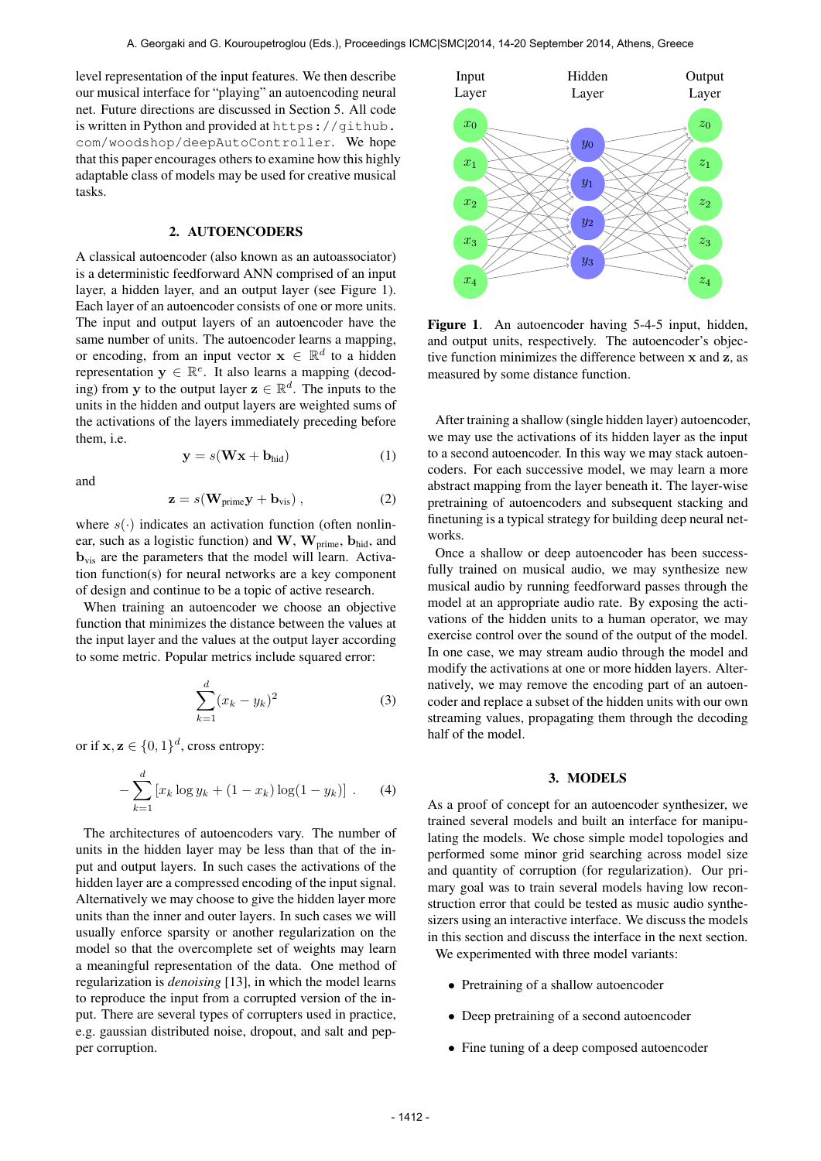level representation of the input features. We then describe our musical interface for "playing" an autoencoding neural net. Future directions are discussed in Section 5. All code is written in Python and provided at [https://github.](https://github.com/woodshop/deepAutoController) [com/woodshop/deepAutoController](https://github.com/woodshop/deepAutoController). We hope that this paper encourages others to examine how this highly adaptable class of models may be used for creative musical tasks.

#### 2. AUTOENCODERS

A classical autoencoder (also known as an autoassociator) is a deterministic feedforward ANN comprised of an input layer, a hidden layer, and an output layer (see Figure 1). Each layer of an autoencoder consists of one or more units. The input and output layers of an autoencoder have the same number of units. The autoencoder learns a mapping, or encoding, from an input vector  $\mathbf{x} \in \mathbb{R}^d$  to a hidden representation  $y \in \mathbb{R}^e$ . It also learns a mapping (decoding) from y to the output layer  $z \in \mathbb{R}^d$ . The inputs to the units in the hidden and output layers are weighted sums of the activations of the layers immediately preceding before them, i.e.

$$
y = s(Wx + b_{hid})
$$
 (1)

and

$$
\mathbf{z} = s(\mathbf{W}_{\text{prime}} \mathbf{y} + \mathbf{b}_{\text{vis}}) , \qquad (2)
$$

where  $s(\cdot)$  indicates an activation function (often nonlinear, such as a logistic function) and  $W$ ,  $W_{\text{prime}}$ ,  $b_{\text{hid}}$ , and  $b_{vis}$  are the parameters that the model will learn. Activation function(s) for neural networks are a key component of design and continue to be a topic of active research.

When training an autoencoder we choose an objective function that minimizes the distance between the values at the input layer and the values at the output layer according to some metric. Popular metrics include squared error:

$$
\sum_{k=1}^{d} (x_k - y_k)^2
$$
 (3)

or if  $\mathbf{x}, \mathbf{z} \in \{0, 1\}^d$ , cross entropy:

$$
-\sum_{k=1}^{d} \left[ x_k \log y_k + (1 - x_k) \log(1 - y_k) \right].
$$
 (4)

The architectures of autoencoders vary. The number of units in the hidden layer may be less than that of the input and output layers. In such cases the activations of the hidden layer are a compressed encoding of the input signal. Alternatively we may choose to give the hidden layer more units than the inner and outer layers. In such cases we will usually enforce sparsity or another regularization on the model so that the overcomplete set of weights may learn a meaningful representation of the data. One method of regularization is *denoising* [13], in which the model learns to reproduce the input from a corrupted version of the input. There are several types of corrupters used in practice, e.g. gaussian distributed noise, dropout, and salt and pepper corruption.



Figure 1. An autoencoder having 5-4-5 input, hidden, and output units, respectively. The autoencoder's objective function minimizes the difference between x and z, as measured by some distance function.

After training a shallow (single hidden layer) autoencoder, we may use the activations of its hidden layer as the input to a second autoencoder. In this way we may stack autoencoders. For each successive model, we may learn a more abstract mapping from the layer beneath it. The layer-wise pretraining of autoencoders and subsequent stacking and finetuning is a typical strategy for building deep neural networks.

Once a shallow or deep autoencoder has been successfully trained on musical audio, we may synthesize new musical audio by running feedforward passes through the model at an appropriate audio rate. By exposing the activations of the hidden units to a human operator, we may exercise control over the sound of the output of the model. In one case, we may stream audio through the model and modify the activations at one or more hidden layers. Alternatively, we may remove the encoding part of an autoencoder and replace a subset of the hidden units with our own streaming values, propagating them through the decoding half of the model.

## 3. MODELS

As a proof of concept for an autoencoder synthesizer, we trained several models and built an interface for manipulating the models. We chose simple model topologies and performed some minor grid searching across model size and quantity of corruption (for regularization). Our primary goal was to train several models having low reconstruction error that could be tested as music audio synthesizers using an interactive interface. We discuss the models in this section and discuss the interface in the next section. We experimented with three model variants:

- Pretraining of a shallow autoencoder
- Deep pretraining of a second autoencoder
- Fine tuning of a deep composed autoencoder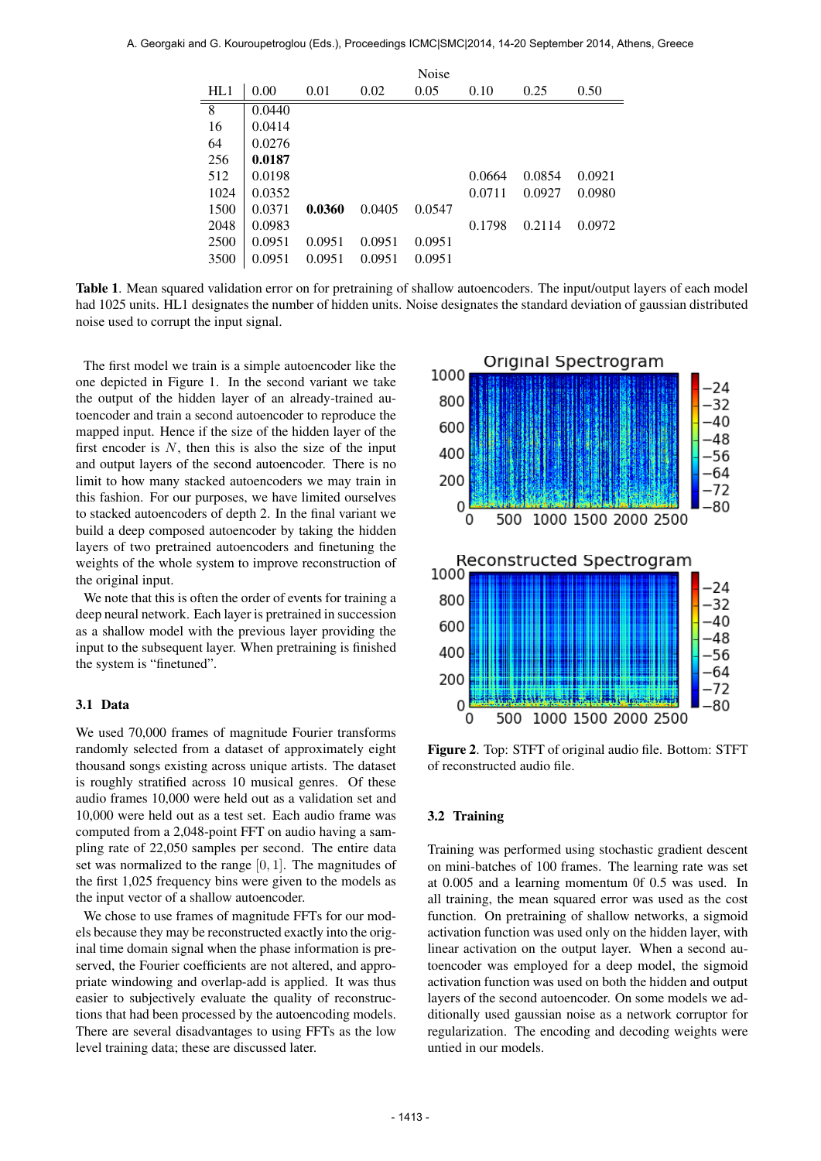|      |        |        |        | Noise  |        |        |        |
|------|--------|--------|--------|--------|--------|--------|--------|
| HL1  | 0.00   | 0.01   | 0.02   | 0.05   | 0.10   | 0.25   | 0.50   |
| 8    | 0.0440 |        |        |        |        |        |        |
| 16   | 0.0414 |        |        |        |        |        |        |
| 64   | 0.0276 |        |        |        |        |        |        |
| 256  | 0.0187 |        |        |        |        |        |        |
| 512  | 0.0198 |        |        |        | 0.0664 | 0.0854 | 0.0921 |
| 1024 | 0.0352 |        |        |        | 0.0711 | 0.0927 | 0.0980 |
| 1500 | 0.0371 | 0.0360 | 0.0405 | 0.0547 |        |        |        |
| 2048 | 0.0983 |        |        |        | 0.1798 | 0.2114 | 0.0972 |
| 2500 | 0.0951 | 0.0951 | 0.0951 | 0.0951 |        |        |        |
| 3500 | 0.0951 | 0.0951 | 0.0951 | 0.0951 |        |        |        |

Table 1. Mean squared validation error on for pretraining of shallow autoencoders. The input/output layers of each model had 1025 units. HL1 designates the number of hidden units. Noise designates the standard deviation of gaussian distributed noise used to corrupt the input signal.

The first model we train is a simple autoencoder like the one depicted in Figure 1. In the second variant we take the output of the hidden layer of an already-trained autoencoder and train a second autoencoder to reproduce the mapped input. Hence if the size of the hidden layer of the first encoder is  $N$ , then this is also the size of the input and output layers of the second autoencoder. There is no limit to how many stacked autoencoders we may train in this fashion. For our purposes, we have limited ourselves to stacked autoencoders of depth 2. In the final variant we build a deep composed autoencoder by taking the hidden layers of two pretrained autoencoders and finetuning the weights of the whole system to improve reconstruction of the original input.

We note that this is often the order of events for training a deep neural network. Each layer is pretrained in succession as a shallow model with the previous layer providing the input to the subsequent layer. When pretraining is finished the system is "finetuned".

# 3.1 Data

We used 70,000 frames of magnitude Fourier transforms randomly selected from a dataset of approximately eight thousand songs existing across unique artists. The dataset is roughly stratified across 10 musical genres. Of these audio frames 10,000 were held out as a validation set and 10,000 were held out as a test set. Each audio frame was computed from a 2,048-point FFT on audio having a sampling rate of 22,050 samples per second. The entire data set was normalized to the range [0, 1]. The magnitudes of the first 1,025 frequency bins were given to the models as the input vector of a shallow autoencoder.

We chose to use frames of magnitude FFTs for our models because they may be reconstructed exactly into the original time domain signal when the phase information is preserved, the Fourier coefficients are not altered, and appropriate windowing and overlap-add is applied. It was thus easier to subjectively evaluate the quality of reconstructions that had been processed by the autoencoding models. There are several disadvantages to using FFTs as the low level training data; these are discussed later.



Figure 2. Top: STFT of original audio file. Bottom: STFT of reconstructed audio file.

### 3.2 Training

Training was performed using stochastic gradient descent on mini-batches of 100 frames. The learning rate was set at 0.005 and a learning momentum 0f 0.5 was used. In all training, the mean squared error was used as the cost function. On pretraining of shallow networks, a sigmoid activation function was used only on the hidden layer, with linear activation on the output layer. When a second autoencoder was employed for a deep model, the sigmoid activation function was used on both the hidden and output layers of the second autoencoder. On some models we additionally used gaussian noise as a network corruptor for regularization. The encoding and decoding weights were untied in our models.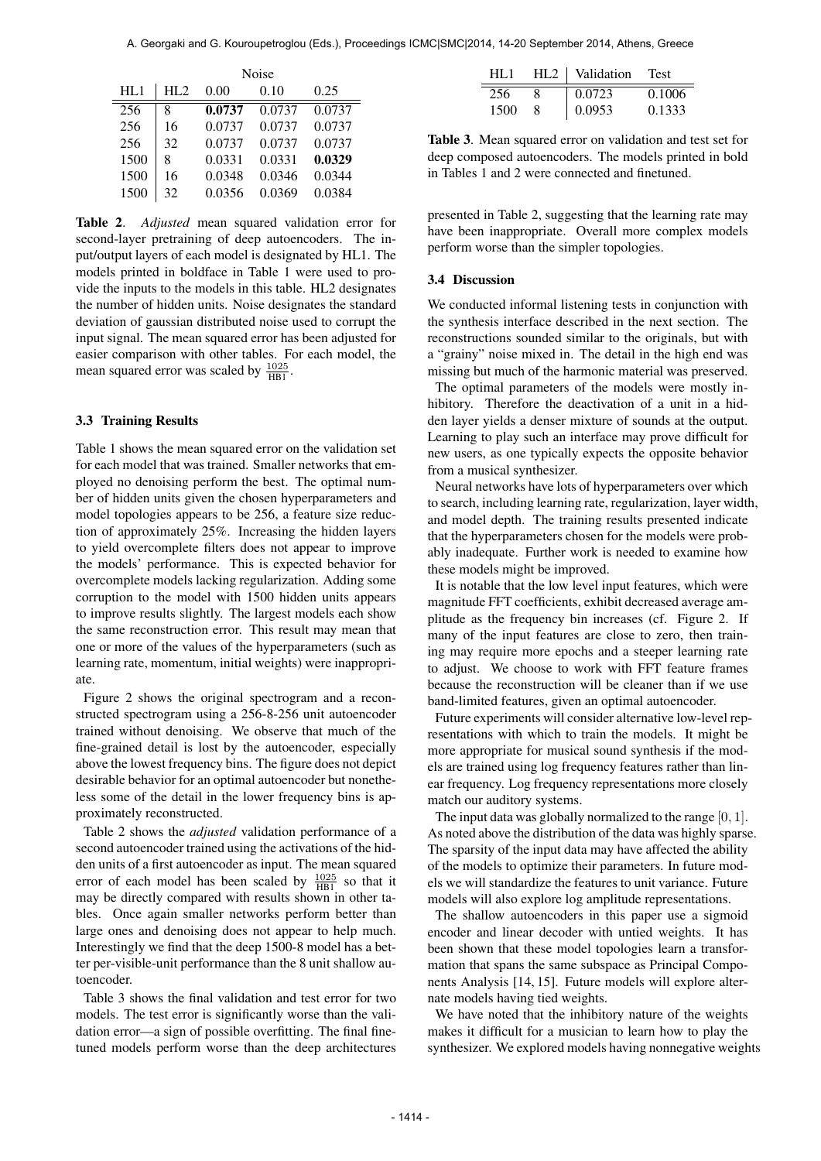|      | Noise |        |        |        |  |
|------|-------|--------|--------|--------|--|
| HL1  | HI.2  | 0.00   | 0.10   | 0.25   |  |
| 256  | 8     | 0.0737 | 0.0737 | 0.0737 |  |
| 256  | 16    | 0.0737 | 0.0737 | 0.0737 |  |
| 256  | 32    | 0.0737 | 0.0737 | 0.0737 |  |
| 1500 | 8     | 0.0331 | 0.0331 | 0.0329 |  |
| 1500 | 16    | 0.0348 | 0.0346 | 0.0344 |  |
| 1500 | 32    | 0.0356 | 0.0369 | 0.0384 |  |

Table 2. *Adjusted* mean squared validation error for second-layer pretraining of deep autoencoders. The input/output layers of each model is designated by HL1. The models printed in boldface in Table 1 were used to provide the inputs to the models in this table. HL2 designates the number of hidden units. Noise designates the standard deviation of gaussian distributed noise used to corrupt the input signal. The mean squared error has been adjusted for easier comparison with other tables. For each model, the mean squared error was scaled by  $\frac{1025}{HB1}$ .

#### 3.3 Training Results

Table 1 shows the mean squared error on the validation set for each model that was trained. Smaller networks that employed no denoising perform the best. The optimal number of hidden units given the chosen hyperparameters and model topologies appears to be 256, a feature size reduction of approximately 25%. Increasing the hidden layers to yield overcomplete filters does not appear to improve the models' performance. This is expected behavior for overcomplete models lacking regularization. Adding some corruption to the model with 1500 hidden units appears to improve results slightly. The largest models each show the same reconstruction error. This result may mean that one or more of the values of the hyperparameters (such as learning rate, momentum, initial weights) were inappropriate.

Figure 2 shows the original spectrogram and a reconstructed spectrogram using a 256-8-256 unit autoencoder trained without denoising. We observe that much of the fine-grained detail is lost by the autoencoder, especially above the lowest frequency bins. The figure does not depict desirable behavior for an optimal autoencoder but nonetheless some of the detail in the lower frequency bins is approximately reconstructed.

Table 2 shows the *adjusted* validation performance of a second autoencoder trained using the activations of the hidden units of a first autoencoder as input. The mean squared error of each model has been scaled by  $\frac{1025}{HB1}$  so that it may be directly compared with results shown in other tables. Once again smaller networks perform better than large ones and denoising does not appear to help much. Interestingly we find that the deep 1500-8 model has a better per-visible-unit performance than the 8 unit shallow autoencoder.

Table 3 shows the final validation and test error for two models. The test error is significantly worse than the validation error—a sign of possible overfitting. The final finetuned models perform worse than the deep architectures

| HI .1 | HL2   Validation | <b>Test</b> |  |
|-------|------------------|-------------|--|
| 256   | 0.0723           | 0.1006      |  |
| 1500  | 0.0953           | 0.1333      |  |

Table 3. Mean squared error on validation and test set for deep composed autoencoders. The models printed in bold in Tables 1 and 2 were connected and finetuned.

presented in Table 2, suggesting that the learning rate may have been inappropriate. Overall more complex models perform worse than the simpler topologies.

#### 3.4 Discussion

We conducted informal listening tests in conjunction with the synthesis interface described in the next section. The reconstructions sounded similar to the originals, but with a "grainy" noise mixed in. The detail in the high end was missing but much of the harmonic material was preserved.

The optimal parameters of the models were mostly inhibitory. Therefore the deactivation of a unit in a hidden layer yields a denser mixture of sounds at the output. Learning to play such an interface may prove difficult for new users, as one typically expects the opposite behavior from a musical synthesizer.

Neural networks have lots of hyperparameters over which to search, including learning rate, regularization, layer width, and model depth. The training results presented indicate that the hyperparameters chosen for the models were probably inadequate. Further work is needed to examine how these models might be improved.

It is notable that the low level input features, which were magnitude FFT coefficients, exhibit decreased average amplitude as the frequency bin increases (cf. Figure 2. If many of the input features are close to zero, then training may require more epochs and a steeper learning rate to adjust. We choose to work with FFT feature frames because the reconstruction will be cleaner than if we use band-limited features, given an optimal autoencoder.

Future experiments will consider alternative low-level representations with which to train the models. It might be more appropriate for musical sound synthesis if the models are trained using log frequency features rather than linear frequency. Log frequency representations more closely match our auditory systems.

The input data was globally normalized to the range [0, 1]. As noted above the distribution of the data was highly sparse. The sparsity of the input data may have affected the ability of the models to optimize their parameters. In future models we will standardize the features to unit variance. Future models will also explore log amplitude representations.

The shallow autoencoders in this paper use a sigmoid encoder and linear decoder with untied weights. It has been shown that these model topologies learn a transformation that spans the same subspace as Principal Components Analysis [14, 15]. Future models will explore alternate models having tied weights.

We have noted that the inhibitory nature of the weights makes it difficult for a musician to learn how to play the synthesizer. We explored models having nonnegative weights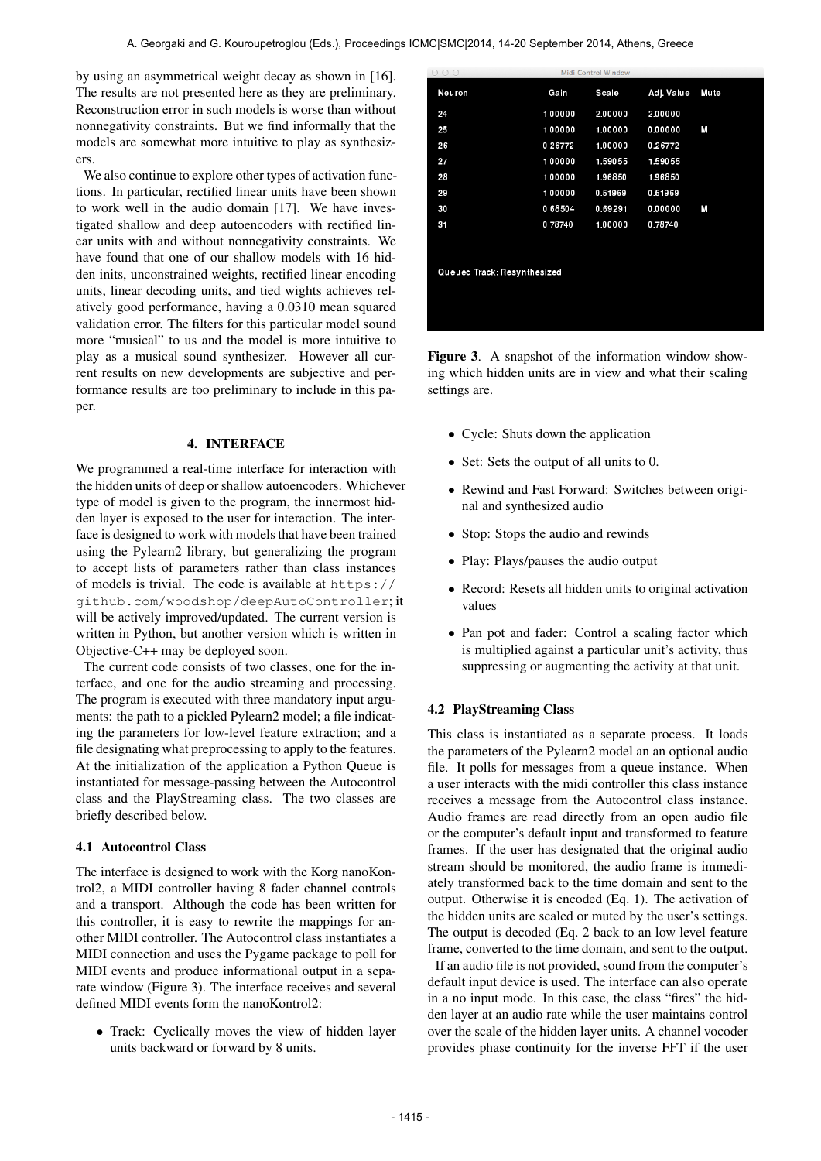by using an asymmetrical weight decay as shown in [16]. The results are not presented here as they are preliminary. Reconstruction error in such models is worse than without nonnegativity constraints. But we find informally that the models are somewhat more intuitive to play as synthesizers.

We also continue to explore other types of activation functions. In particular, rectified linear units have been shown to work well in the audio domain [17]. We have investigated shallow and deep autoencoders with rectified linear units with and without nonnegativity constraints. We have found that one of our shallow models with 16 hidden inits, unconstrained weights, rectified linear encoding units, linear decoding units, and tied wights achieves relatively good performance, having a 0.0310 mean squared validation error. The filters for this particular model sound more "musical" to us and the model is more intuitive to play as a musical sound synthesizer. However all current results on new developments are subjective and performance results are too preliminary to include in this paper.

#### 4. INTERFACE

We programmed a real-time interface for interaction with the hidden units of deep or shallow autoencoders. Whichever type of model is given to the program, the innermost hidden layer is exposed to the user for interaction. The interface is designed to work with models that have been trained using the Pylearn2 library, but generalizing the program to accept lists of parameters rather than class instances of models is trivial. The code is available at [https://](https://github.com/woodshop/deepAutoController) [github.com/woodshop/deepAutoController](https://github.com/woodshop/deepAutoController); it will be actively improved/updated. The current version is written in Python, but another version which is written in Objective-C++ may be deployed soon.

The current code consists of two classes, one for the interface, and one for the audio streaming and processing. The program is executed with three mandatory input arguments: the path to a pickled Pylearn2 model; a file indicating the parameters for low-level feature extraction; and a file designating what preprocessing to apply to the features. At the initialization of the application a Python Queue is instantiated for message-passing between the Autocontrol class and the PlayStreaming class. The two classes are briefly described below.

#### 4.1 Autocontrol Class

The interface is designed to work with the Korg nanoKontrol2, a MIDI controller having 8 fader channel controls and a transport. Although the code has been written for this controller, it is easy to rewrite the mappings for another MIDI controller. The Autocontrol class instantiates a MIDI connection and uses the Pygame package to poll for MIDI events and produce informational output in a separate window (Figure 3). The interface receives and several defined MIDI events form the nanoKontrol2:

• Track: Cyclically moves the view of hidden layer units backward or forward by 8 units.

| ( ) ( )                     |         | Midi Control Window |            |             |  |  |  |
|-----------------------------|---------|---------------------|------------|-------------|--|--|--|
| Neuron                      | Gain    | Scale               | Adj. Value | <b>Mute</b> |  |  |  |
| 24                          | 1.00000 | 2.00000             | 2.00000    |             |  |  |  |
| 25                          | 1.00000 | 1.00000             | 0.00000    | M           |  |  |  |
| 26                          | 026772  | 1.00000             | 0.26772    |             |  |  |  |
| 27                          | 1.00000 | 1.59055             | 1.59055    |             |  |  |  |
| 28                          | 1.00000 | 1.96850             | 1.96850    |             |  |  |  |
| 29                          | 1.00000 | 0.51969             | 0.51969    |             |  |  |  |
| 30                          | 0.68504 | 0.69291             | 0.00000    | M           |  |  |  |
| 31                          | 0.78740 | 1.00000             | 0.78740    |             |  |  |  |
|                             |         |                     |            |             |  |  |  |
| Queued Track: Resynthesized |         |                     |            |             |  |  |  |
|                             |         |                     |            |             |  |  |  |
|                             |         |                     |            |             |  |  |  |
|                             |         |                     |            |             |  |  |  |

Figure 3. A snapshot of the information window showing which hidden units are in view and what their scaling settings are.

- Cycle: Shuts down the application
- Set: Sets the output of all units to 0.
- Rewind and Fast Forward: Switches between original and synthesized audio
- Stop: Stops the audio and rewinds
- Play: Plays/pauses the audio output
- Record: Resets all hidden units to original activation values
- Pan pot and fader: Control a scaling factor which is multiplied against a particular unit's activity, thus suppressing or augmenting the activity at that unit.

### 4.2 PlayStreaming Class

This class is instantiated as a separate process. It loads the parameters of the Pylearn2 model an an optional audio file. It polls for messages from a queue instance. When a user interacts with the midi controller this class instance receives a message from the Autocontrol class instance. Audio frames are read directly from an open audio file or the computer's default input and transformed to feature frames. If the user has designated that the original audio stream should be monitored, the audio frame is immediately transformed back to the time domain and sent to the output. Otherwise it is encoded (Eq. 1). The activation of the hidden units are scaled or muted by the user's settings. The output is decoded (Eq. 2 back to an low level feature frame, converted to the time domain, and sent to the output.

If an audio file is not provided, sound from the computer's default input device is used. The interface can also operate in a no input mode. In this case, the class "fires" the hidden layer at an audio rate while the user maintains control over the scale of the hidden layer units. A channel vocoder provides phase continuity for the inverse FFT if the user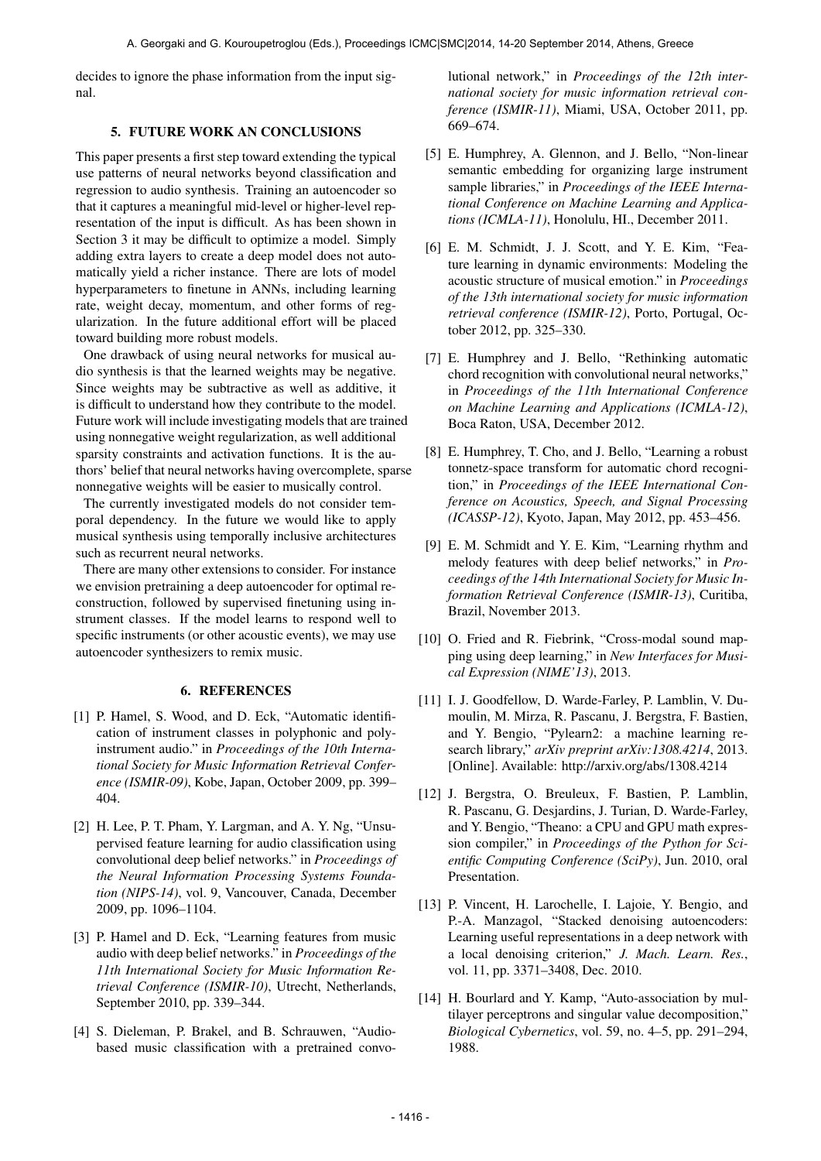decides to ignore the phase information from the input signal.

# 5. FUTURE WORK AN CONCLUSIONS

This paper presents a first step toward extending the typical use patterns of neural networks beyond classification and regression to audio synthesis. Training an autoencoder so that it captures a meaningful mid-level or higher-level representation of the input is difficult. As has been shown in Section 3 it may be difficult to optimize a model. Simply adding extra layers to create a deep model does not automatically yield a richer instance. There are lots of model hyperparameters to finetune in ANNs, including learning rate, weight decay, momentum, and other forms of regularization. In the future additional effort will be placed toward building more robust models.

One drawback of using neural networks for musical audio synthesis is that the learned weights may be negative. Since weights may be subtractive as well as additive, it is difficult to understand how they contribute to the model. Future work will include investigating models that are trained using nonnegative weight regularization, as well additional sparsity constraints and activation functions. It is the authors' belief that neural networks having overcomplete, sparse nonnegative weights will be easier to musically control.

The currently investigated models do not consider temporal dependency. In the future we would like to apply musical synthesis using temporally inclusive architectures such as recurrent neural networks.

There are many other extensions to consider. For instance we envision pretraining a deep autoencoder for optimal reconstruction, followed by supervised finetuning using instrument classes. If the model learns to respond well to specific instruments (or other acoustic events), we may use autoencoder synthesizers to remix music.

#### 6. REFERENCES

- [1] P. Hamel, S. Wood, and D. Eck, "Automatic identification of instrument classes in polyphonic and polyinstrument audio." in *Proceedings of the 10th International Society for Music Information Retrieval Conference (ISMIR-09)*, Kobe, Japan, October 2009, pp. 399– 404.
- [2] H. Lee, P. T. Pham, Y. Largman, and A. Y. Ng, "Unsupervised feature learning for audio classification using convolutional deep belief networks." in *Proceedings of the Neural Information Processing Systems Foundation (NIPS-14)*, vol. 9, Vancouver, Canada, December 2009, pp. 1096–1104.
- [3] P. Hamel and D. Eck, "Learning features from music audio with deep belief networks." in *Proceedings of the 11th International Society for Music Information Retrieval Conference (ISMIR-10)*, Utrecht, Netherlands, September 2010, pp. 339–344.
- [4] S. Dieleman, P. Brakel, and B. Schrauwen, "Audiobased music classification with a pretrained convo-

lutional network," in *Proceedings of the 12th international society for music information retrieval conference (ISMIR-11)*, Miami, USA, October 2011, pp. 669–674.

- [5] E. Humphrey, A. Glennon, and J. Bello, "Non-linear semantic embedding for organizing large instrument sample libraries," in *Proceedings of the IEEE International Conference on Machine Learning and Applications (ICMLA-11)*, Honolulu, HI., December 2011.
- [6] E. M. Schmidt, J. J. Scott, and Y. E. Kim, "Feature learning in dynamic environments: Modeling the acoustic structure of musical emotion." in *Proceedings of the 13th international society for music information retrieval conference (ISMIR-12)*, Porto, Portugal, October 2012, pp. 325–330.
- [7] E. Humphrey and J. Bello, "Rethinking automatic chord recognition with convolutional neural networks," in *Proceedings of the 11th International Conference on Machine Learning and Applications (ICMLA-12)*, Boca Raton, USA, December 2012.
- [8] E. Humphrey, T. Cho, and J. Bello, "Learning a robust" tonnetz-space transform for automatic chord recognition," in *Proceedings of the IEEE International Conference on Acoustics, Speech, and Signal Processing (ICASSP-12)*, Kyoto, Japan, May 2012, pp. 453–456.
- [9] E. M. Schmidt and Y. E. Kim, "Learning rhythm and melody features with deep belief networks," in *Proceedings of the 14th International Society for Music Information Retrieval Conference (ISMIR-13)*, Curitiba, Brazil, November 2013.
- [10] O. Fried and R. Fiebrink, "Cross-modal sound mapping using deep learning," in *New Interfaces for Musical Expression (NIME'13)*, 2013.
- [11] I. J. Goodfellow, D. Warde-Farley, P. Lamblin, V. Dumoulin, M. Mirza, R. Pascanu, J. Bergstra, F. Bastien, and Y. Bengio, "Pylearn2: a machine learning research library," *arXiv preprint arXiv:1308.4214*, 2013. [Online]. Available:<http://arxiv.org/abs/1308.4214>
- [12] J. Bergstra, O. Breuleux, F. Bastien, P. Lamblin, R. Pascanu, G. Desjardins, J. Turian, D. Warde-Farley, and Y. Bengio, "Theano: a CPU and GPU math expression compiler," in *Proceedings of the Python for Scientific Computing Conference (SciPy)*, Jun. 2010, oral Presentation.
- [13] P. Vincent, H. Larochelle, I. Lajoie, Y. Bengio, and P.-A. Manzagol, "Stacked denoising autoencoders: Learning useful representations in a deep network with a local denoising criterion," *J. Mach. Learn. Res.*, vol. 11, pp. 3371–3408, Dec. 2010.
- [14] H. Bourlard and Y. Kamp, "Auto-association by multilayer perceptrons and singular value decomposition," *Biological Cybernetics*, vol. 59, no. 4–5, pp. 291–294, 1988.